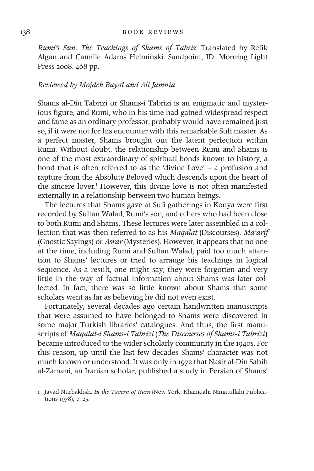*Rumi's Sun: The Teachings of Shams of Tabriz.* Translated by Refik Algan and Camille Adams Helminski. Sandpoint, ID: Morning Light Press 2008. 468 pp.

## *Reviewed by Mojdeh Bayat and Ali Jamnia*

Shams al-Din Tabrizi or Shams-i Tabrizi is an enigmatic and mysterious figure, and Rumi, who in his time had gained widespread respect and fame as an ordinary professor, probably would have remained just so, if it were not for his encounter with this remarkable Sufi master. As a perfect master, Shams brought out the latent perfection within Rumi. Without doubt, the relationship between Rumi and Shams is one of the most extraordinary of spiritual bonds known to history, a bond that is often referred to as the 'divine Love' – a profusion and rapture from the Absolute Beloved which descends upon the heart of the sincere lover.<sup>1</sup> However, this divine love is not often manifested externally in a relationship between two human beings.

The lectures that Shams gave at Sufi gatherings in Konya were first recorded by Sultan Walad, Rumi's son, and others who had been close to both Rumi and Shams. These lectures were later assembled in a collection that was then referred to as his *Magalat* (Discourses), *Ma<sup>c</sup>arif* (Gnostic Sayings) or *Asrar* (Mysteries). However, it appears that no one at the time, including Rumi and Sultan Walad, paid too much atten tion to Shams' lectures or tried to arrange his teachings in logical sequence. As a result, one might say, they were forgotten and very little in the way of factual information about Shams was later collected. In fact, there was so little known about Shams that some scholars went as far as believing he did not even exist.

Fortunately, several decades ago certain handwritten manuscripts that were assumed to have belonged to Shams were discovered in some major Turkish libraries' catalogues. And thus, the first manuscripts of *Maqalat-i Shams-i Tabrizi* (*The Discourses of Shams-i Tabrizi*) became introduced to the wider scholarly community in the 1940s. For this reason, up until the last few decades Shams' character was not much known or understood. It was only in 1972 that Nasir al-Din Sahib al-Zamani, an Iranian scholar, published a study in Persian of Shams'

<sup>1</sup> Javad Nurbakhsh, *In the Tavern of Ruin* (New York: Khaniqahi Nimatullahi Publications 1978), p. 25.